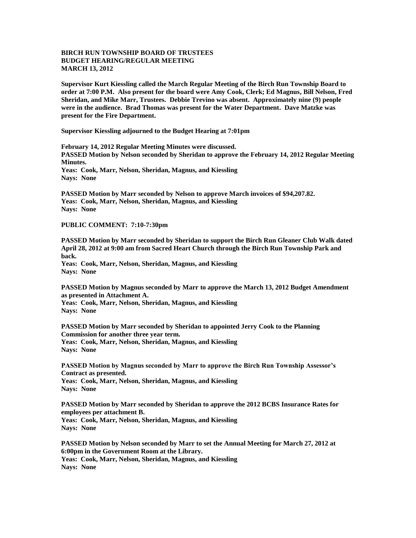## **BIRCH RUN TOWNSHIP BOARD OF TRUSTEES BUDGET HEARING/REGULAR MEETING MARCH 13, 2012**

**Supervisor Kurt Kiessling called the March Regular Meeting of the Birch Run Township Board to order at 7:00 P.M. Also present for the board were Amy Cook, Clerk; Ed Magnus, Bill Nelson, Fred Sheridan, and Mike Marr, Trustees. Debbie Trevino was absent. Approximately nine (9) people were in the audience. Brad Thomas was present for the Water Department. Dave Matzke was present for the Fire Department.** 

**Supervisor Kiessling adjourned to the Budget Hearing at 7:01pm**

**February 14, 2012 Regular Meeting Minutes were discussed. PASSED Motion by Nelson seconded by Sheridan to approve the February 14, 2012 Regular Meeting Minutes. Yeas: Cook, Marr, Nelson, Sheridan, Magnus, and Kiessling Nays: None** 

**PASSED Motion by Marr seconded by Nelson to approve March invoices of \$94,207.82. Yeas: Cook, Marr, Nelson, Sheridan, Magnus, and Kiessling Nays: None** 

**PUBLIC COMMENT: 7:10-7:30pm**

**PASSED Motion by Marr seconded by Sheridan to support the Birch Run Gleaner Club Walk dated April 28, 2012 at 9:00 am from Sacred Heart Church through the Birch Run Township Park and back. Yeas: Cook, Marr, Nelson, Sheridan, Magnus, and Kiessling**

**Nays: None**

**PASSED Motion by Magnus seconded by Marr to approve the March 13, 2012 Budget Amendment as presented in Attachment A.**

**Yeas: Cook, Marr, Nelson, Sheridan, Magnus, and Kiessling Nays: None**

**PASSED Motion by Marr seconded by Sheridan to appointed Jerry Cook to the Planning Commission for another three year term. Yeas: Cook, Marr, Nelson, Sheridan, Magnus, and Kiessling Nays: None**

**PASSED Motion by Magnus seconded by Marr to approve the Birch Run Township Assessor's Contract as presented. Yeas: Cook, Marr, Nelson, Sheridan, Magnus, and Kiessling Nays: None**

**PASSED Motion by Marr seconded by Sheridan to approve the 2012 BCBS Insurance Rates for employees per attachment B. Yeas: Cook, Marr, Nelson, Sheridan, Magnus, and Kiessling Nays: None**

**PASSED Motion by Nelson seconded by Marr to set the Annual Meeting for March 27, 2012 at 6:00pm in the Government Room at the Library. Yeas: Cook, Marr, Nelson, Sheridan, Magnus, and Kiessling Nays: None**